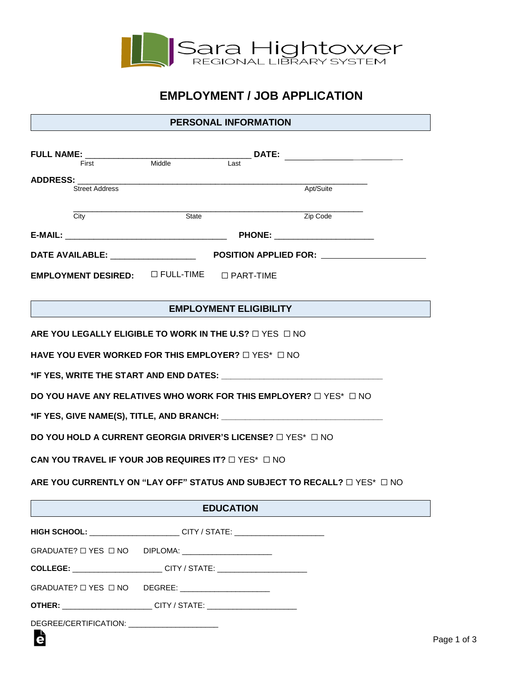

## **EMPLOYMENT / JOB APPLICATION**

## **PERSONAL INFORMATION**

| <b>FULL NAME:</b><br>First Middle                                                      |                                                                      | DATE:                         |                                 |  |  |  |
|----------------------------------------------------------------------------------------|----------------------------------------------------------------------|-------------------------------|---------------------------------|--|--|--|
|                                                                                        |                                                                      | Last                          |                                 |  |  |  |
| <b>ADDRESS:</b><br><b>Street Address</b>                                               | <u> 1980 - Jan James James Barnett, amerikansk politik (d. 1980)</u> |                               | Apt/Suite                       |  |  |  |
| City                                                                                   | State                                                                |                               | Zip Code                        |  |  |  |
|                                                                                        |                                                                      |                               |                                 |  |  |  |
|                                                                                        |                                                                      |                               | PHONE: ________________________ |  |  |  |
|                                                                                        |                                                                      |                               |                                 |  |  |  |
| EMPLOYMENT DESIRED: $\Box$ FULL-TIME $\Box$ PART-TIME                                  |                                                                      |                               |                                 |  |  |  |
|                                                                                        |                                                                      | <b>EMPLOYMENT ELIGIBILITY</b> |                                 |  |  |  |
| ARE YOU LEGALLY ELIGIBLE TO WORK IN THE U.S? $\Box$ YES $\Box$ NO                      |                                                                      |                               |                                 |  |  |  |
| HAVE YOU EVER WORKED FOR THIS EMPLOYER? $\square$ YES* $\square$ NO                    |                                                                      |                               |                                 |  |  |  |
|                                                                                        |                                                                      |                               |                                 |  |  |  |
| DO YOU HAVE ANY RELATIVES WHO WORK FOR THIS EMPLOYER? $\square$ YES* $\square$ NO      |                                                                      |                               |                                 |  |  |  |
|                                                                                        |                                                                      |                               |                                 |  |  |  |
| DO YOU HOLD A CURRENT GEORGIA DRIVER'S LICENSE? $\square$ YES* $\square$ NO            |                                                                      |                               |                                 |  |  |  |
| CAN YOU TRAVEL IF YOUR JOB REQUIRES IT? $\Box$ YES* $\Box$ NO                          |                                                                      |                               |                                 |  |  |  |
| ARE YOU CURRENTLY ON "LAY OFF" STATUS AND SUBJECT TO RECALL? □ YES* □ NO               |                                                                      |                               |                                 |  |  |  |
| <b>EDUCATION</b>                                                                       |                                                                      |                               |                                 |  |  |  |
| HIGH SCHOOL: ________________________CITY / STATE: _____________________________       |                                                                      |                               |                                 |  |  |  |
| GRADUATE? $\Box$ YES $\Box$ NO                                                         | DIPLOMA: __________________________                                  |                               |                                 |  |  |  |
| COLLEGE: _________________________CITY / STATE: ________________________________       |                                                                      |                               |                                 |  |  |  |
| GRADUATE? O YES O NO DEGREE: ___________________                                       |                                                                      |                               |                                 |  |  |  |
| <b>OTHER:</b> _______________________CITY / STATE: ___________________________________ |                                                                      |                               |                                 |  |  |  |
| DEGREE/CERTIFICATION: ______________________                                           |                                                                      |                               |                                 |  |  |  |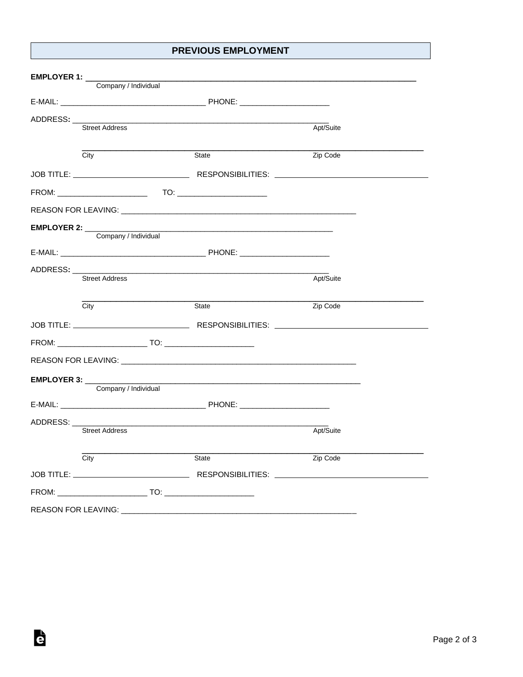## **PREVIOUS EMPLOYMENT**

| EMPLOYER 1: ________  |                       |                                                                                                                       |           |  |
|-----------------------|-----------------------|-----------------------------------------------------------------------------------------------------------------------|-----------|--|
|                       | Company / Individual  |                                                                                                                       |           |  |
|                       |                       |                                                                                                                       |           |  |
| ADDRESS: ___          |                       | <u> 1980 - An Dùbhlachd ann an Dùbhlachd ann an Dùbhlachd ann an Dùbhlachd ann an Dùbhlachd ann an Dùbhlachd ann </u> |           |  |
|                       | <b>Street Address</b> |                                                                                                                       | Apt/Suite |  |
|                       |                       |                                                                                                                       |           |  |
|                       | City                  | State                                                                                                                 | Zip Code  |  |
|                       |                       |                                                                                                                       |           |  |
|                       |                       |                                                                                                                       |           |  |
|                       |                       |                                                                                                                       |           |  |
| EMPLOYER 2:           |                       |                                                                                                                       |           |  |
|                       | Company / Individual  |                                                                                                                       |           |  |
|                       |                       |                                                                                                                       |           |  |
| ADDRESS: _______      |                       |                                                                                                                       |           |  |
|                       | <b>Street Address</b> |                                                                                                                       | Apt/Suite |  |
|                       |                       |                                                                                                                       |           |  |
|                       | City                  | State                                                                                                                 | Zip Code  |  |
|                       |                       |                                                                                                                       |           |  |
|                       |                       |                                                                                                                       |           |  |
|                       |                       | REASON FOR LEAVING: A CONTROL OF THE CONTROL OF THE CONTROL OF THE CONTROL OF THE CONTROL OF THE CONTROL OF TH        |           |  |
|                       |                       |                                                                                                                       |           |  |
|                       | Company / Individual  |                                                                                                                       |           |  |
|                       |                       | E-MAIL: PHONE: PHONE:                                                                                                 |           |  |
| ADDRESS:              |                       | <u> 1989 - Johann Stein, mars an deutscher Stein und der Stein und der Stein und der Stein und der Stein und der</u>  |           |  |
|                       | <b>Street Address</b> |                                                                                                                       | Apt/Suite |  |
|                       | City                  | State                                                                                                                 | Zip Code  |  |
|                       |                       |                                                                                                                       |           |  |
|                       |                       |                                                                                                                       |           |  |
|                       |                       |                                                                                                                       |           |  |
| REASON FOR LEAVING: _ |                       |                                                                                                                       |           |  |

è